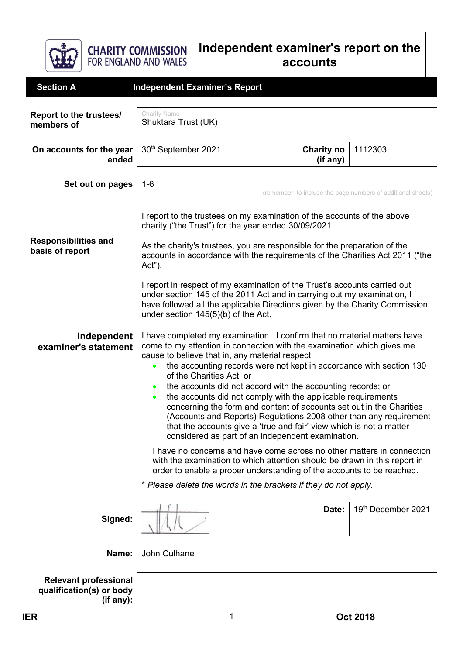

**CHARITY COMMISSION**<br>FOR ENGLAND AND WALES

## **Independent examiner's report on the accounts**

| <b>Section A</b>                                                      | <b>Independent Examiner's Report</b>                                                                                                                                                                                                                                                                                                                                                                                                                                                                                                                                                                                                                                                                                           |                               |                    |
|-----------------------------------------------------------------------|--------------------------------------------------------------------------------------------------------------------------------------------------------------------------------------------------------------------------------------------------------------------------------------------------------------------------------------------------------------------------------------------------------------------------------------------------------------------------------------------------------------------------------------------------------------------------------------------------------------------------------------------------------------------------------------------------------------------------------|-------------------------------|--------------------|
| Report to the trustees/<br>members of                                 | Charity Name<br>Shuktara Trust (UK)                                                                                                                                                                                                                                                                                                                                                                                                                                                                                                                                                                                                                                                                                            |                               |                    |
| On accounts for the year<br>ended                                     | 30th September 2021                                                                                                                                                                                                                                                                                                                                                                                                                                                                                                                                                                                                                                                                                                            | <b>Charity no</b><br>(if any) | 1112303            |
| Set out on pages                                                      | $1 - 6$<br>(remember to include the page numbers of additional sheets)                                                                                                                                                                                                                                                                                                                                                                                                                                                                                                                                                                                                                                                         |                               |                    |
|                                                                       | I report to the trustees on my examination of the accounts of the above<br>charity ("the Trust") for the year ended 30/09/2021.                                                                                                                                                                                                                                                                                                                                                                                                                                                                                                                                                                                                |                               |                    |
| <b>Responsibilities and</b><br>basis of report                        | As the charity's trustees, you are responsible for the preparation of the<br>accounts in accordance with the requirements of the Charities Act 2011 ("the<br>Act").                                                                                                                                                                                                                                                                                                                                                                                                                                                                                                                                                            |                               |                    |
|                                                                       | I report in respect of my examination of the Trust's accounts carried out<br>under section 145 of the 2011 Act and in carrying out my examination, I<br>have followed all the applicable Directions given by the Charity Commission<br>under section 145(5)(b) of the Act.                                                                                                                                                                                                                                                                                                                                                                                                                                                     |                               |                    |
| Independent<br>examiner's statement                                   | I have completed my examination. I confirm that no material matters have<br>come to my attention in connection with the examination which gives me<br>cause to believe that in, any material respect:<br>the accounting records were not kept in accordance with section 130<br>$\bullet$<br>of the Charities Act; or<br>the accounts did not accord with the accounting records; or<br>the accounts did not comply with the applicable requirements<br>concerning the form and content of accounts set out in the Charities<br>(Accounts and Reports) Regulations 2008 other than any requirement<br>that the accounts give a 'true and fair' view which is not a matter<br>considered as part of an independent examination. |                               |                    |
|                                                                       | I have no concerns and have come across no other matters in connection<br>with the examination to which attention should be drawn in this report in<br>order to enable a proper understanding of the accounts to be reached.                                                                                                                                                                                                                                                                                                                                                                                                                                                                                                   |                               |                    |
|                                                                       | * Please delete the words in the brackets if they do not apply.                                                                                                                                                                                                                                                                                                                                                                                                                                                                                                                                                                                                                                                                |                               |                    |
| Signed:                                                               |                                                                                                                                                                                                                                                                                                                                                                                                                                                                                                                                                                                                                                                                                                                                | Date:                         | 19th December 2021 |
| Name:                                                                 | John Culhane                                                                                                                                                                                                                                                                                                                                                                                                                                                                                                                                                                                                                                                                                                                   |                               |                    |
| <b>Relevant professional</b><br>qualification(s) or body<br>(if any): |                                                                                                                                                                                                                                                                                                                                                                                                                                                                                                                                                                                                                                                                                                                                |                               |                    |